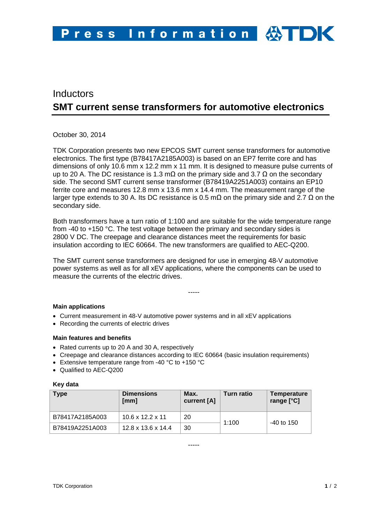# Inductors **SMT current sense transformers for automotive electronics**

October 30, 2014

TDK Corporation presents two new EPCOS SMT current sense transformers for automotive electronics. The first type (B78417A2185A003) is based on an EP7 ferrite core and has dimensions of only 10.6 mm x 12.2 mm x 11 mm. It is designed to measure pulse currents of up to 20 A. The DC resistance is 1.3 mQ on the primary side and 3.7 Q on the secondary side. The second SMT current sense transformer (B78419A2251A003) contains an EP10 ferrite core and measures 12.8 mm x 13.6 mm x 14.4 mm. The measurement range of the larger type extends to 30 A. Its DC resistance is 0.5 mΩ on the primary side and 2.7 Ω on the secondary side.

Both transformers have a turn ratio of 1:100 and are suitable for the wide temperature range from -40 to +150 °C. The test voltage between the primary and secondary sides is 2800 V DC. The creepage and clearance distances meet the requirements for basic insulation according to IEC 60664. The new transformers are qualified to AEC-Q200.

The SMT current sense transformers are designed for use in emerging 48-V automotive power systems as well as for all xEV applications, where the components can be used to measure the currents of the electric drives.

-----

## **Main applications**

- Current measurement in 48-V automotive power systems and in all xEV applications
- Recording the currents of electric drives

## **Main features and benefits**

- Rated currents up to 20 A and 30 A, respectively
- Creepage and clearance distances according to IEC 60664 (basic insulation requirements)
- Extensive temperature range from -40 °C to +150 °C
- Qualified to AEC-Q200

## **Key data**

| <b>Type</b>     | <b>Dimensions</b><br>[mm]      | Max.<br>current [A] | Turn ratio | Temperature<br>range $[°C]$ |
|-----------------|--------------------------------|---------------------|------------|-----------------------------|
| B78417A2185A003 | $10.6 \times 12.2 \times 11$   | 20                  | 1:100      | $-40$ to 150                |
| B78419A2251A003 | $12.8 \times 13.6 \times 14.4$ | 30                  |            |                             |

-----